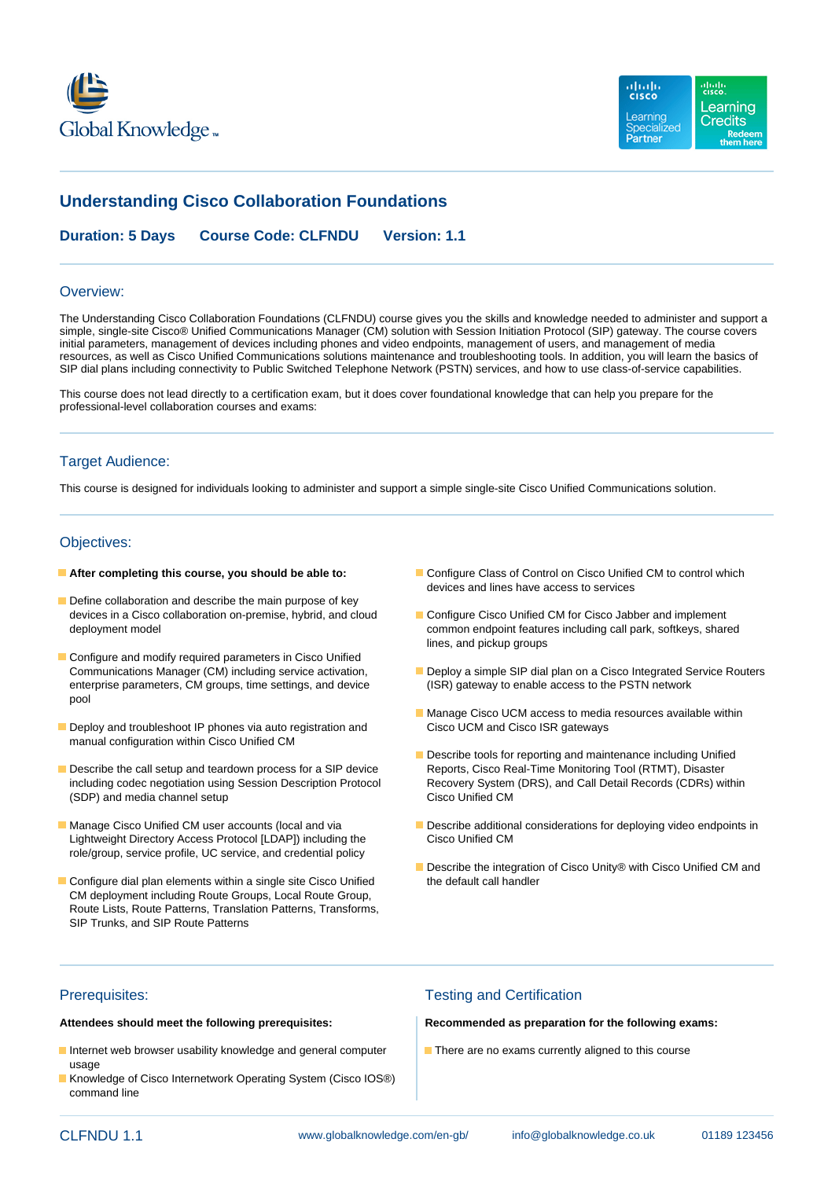



# **Understanding Cisco Collaboration Foundations**

**Duration: 5 Days Course Code: CLFNDU Version: 1.1**

#### Overview:

The Understanding Cisco Collaboration Foundations (CLFNDU) course gives you the skills and knowledge needed to administer and support a simple, single-site Cisco® Unified Communications Manager (CM) solution with Session Initiation Protocol (SIP) gateway. The course covers initial parameters, management of devices including phones and video endpoints, management of users, and management of media resources, as well as Cisco Unified Communications solutions maintenance and troubleshooting tools. In addition, you will learn the basics of SIP dial plans including connectivity to Public Switched Telephone Network (PSTN) services, and how to use class-of-service capabilities.

This course does not lead directly to a certification exam, but it does cover foundational knowledge that can help you prepare for the professional-level collaboration courses and exams:

#### Target Audience:

This course is designed for individuals looking to administer and support a simple single-site Cisco Unified Communications solution.

### Objectives:

- 
- Define collaboration and describe the main purpose of key
- Configure and modify required parameters in Cisco Unified enterprise parameters, CM groups, time settings, and device pool
- Deploy and troubleshoot IP phones via auto registration and manual configuration within Cisco Unified CM
- Describe the call setup and teardown process for a SIP device Reports, Cisco Real-Time Monitoring Tool (RTMT), Disaster (SDP) and media channel setup Cisco Unified CM
- Lightweight Directory Access Protocol [LDAP]) including the role/group, service profile, UC service, and credential policy
- $\blacksquare$  Configure dial plan elements within a single site Cisco Unified CM deployment including Route Groups, Local Route Group, Route Lists, Route Patterns, Translation Patterns, Transforms, SIP Trunks, and SIP Route Patterns
- **After completing this course, you should be able to:** Configure Class of Control on Cisco Unified CM to control which devices and lines have access to services
	- devices in a Cisco collaboration on-premise, hybrid, and cloud<br>
	Configure Cisco Unified CM for Cisco Jabber and implement deployment model common endpoint features including call park, softkeys, shared lines, and pickup groups
	- Communications Manager (CM) including service activation,<br>
	enterprise parameters, CM groups, time settings, and device (ISR) gateway to enable access to the PSTN network
		- **Manage Cisco UCM access to media resources available within Cisco UCM and Cisco ISR gateways**
	- Describe tools for reporting and maintenance including Unified including codec negotiation using Session Description Protocol Recovery System (DRS), and Call Detail Records (CDRs) within
- Manage Cisco Unified CM user accounts (local and via Describe additional considerations for deploying video endpoints in<br>Lightweight Directory Access Protocol ILDAPI) including the Cisco Unified CM
	- Describe the integration of Cisco Unity® with Cisco Unified CM and the default call handler

- Internet web browser usability knowledge and general computer There are no exams currently aligned to this course usage
- Knowledge of Cisco Internetwork Operating System (Cisco IOS®) command line

# Prerequisites: Testing and Certification

**Attendees should meet the following prerequisites: Recommended as preparation for the following exams:**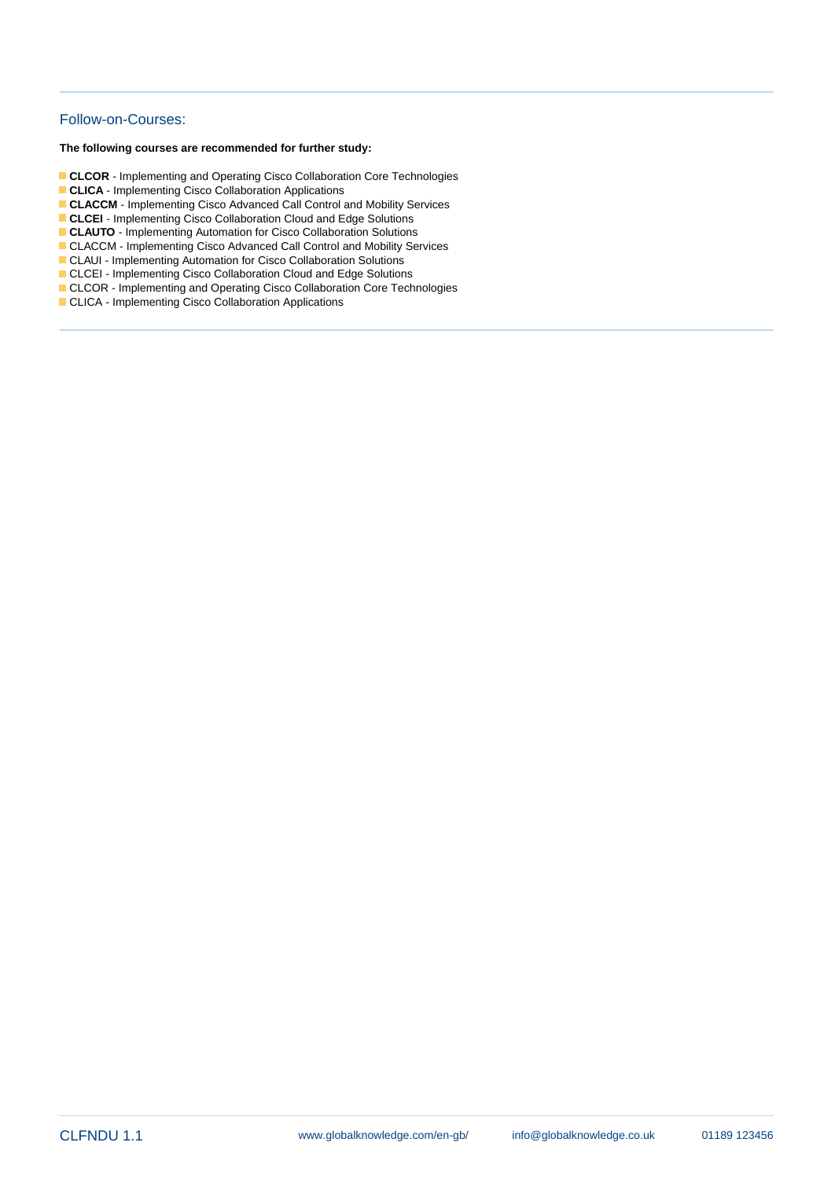# Follow-on-Courses:

**The following courses are recommended for further study:**

- **CLCOR**  Implementing and Operating Cisco Collaboration Core Technologies
- **CLICA** Implementing Cisco Collaboration Applications
- **CLACCM** Implementing Cisco Advanced Call Control and Mobility Services
- **CLCEI** Implementing Cisco Collaboration Cloud and Edge Solutions
- **CLAUTO** Implementing Automation for Cisco Collaboration Solutions
- CLACCM Implementing Cisco Advanced Call Control and Mobility Services
- CLAUI Implementing Automation for Cisco Collaboration Solutions
- CLCEI Implementing Cisco Collaboration Cloud and Edge Solutions
- CLCOR Implementing and Operating Cisco Collaboration Core Technologies
- CLICA Implementing Cisco Collaboration Applications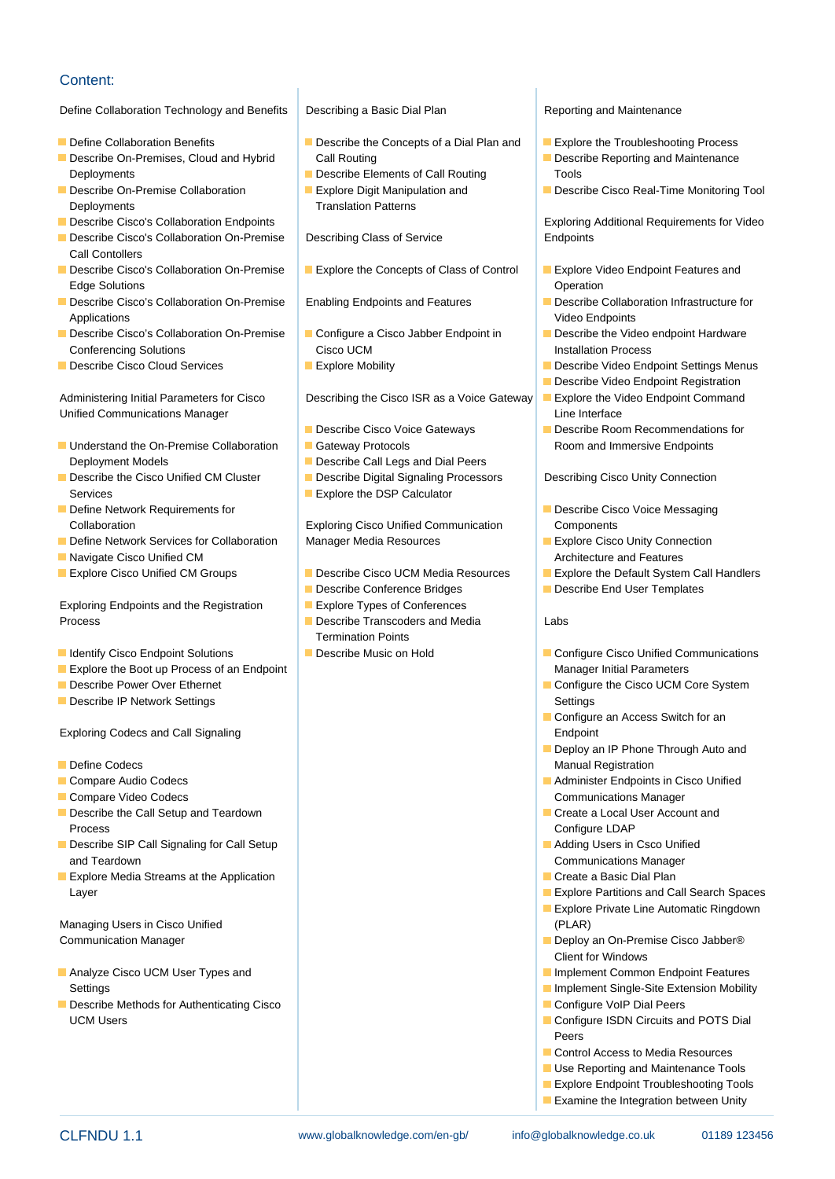# Content:

### Define Collaboration Technology and Benefits Describing a Basic Dial Plan Reporting and Maintenance

- 
- **Describe On-Premises, Cloud and Hybrid Call Routing Call Routing Call Call Routing Call Routing Describe Reporting and Maintenance** Deployments **Deployments** Describe Elements of Call Routing Tools
- 
- Deployments<br> **Describe Cisco's Collaboration Endpoints**<br> **Describe Cisco's Collaboration Endpoints**
- **Describe Cisco's Collaboration On-Premise** Describing Class of Service **Describe Endpoints** Call Contollers
- Describe Cisco's Collaboration On-Premise Explore the Concepts of Class of Control Explore Video Endpoint Features and Edge Solutions **Contract Contract Contract Contract Contract Contract Contract Contract Contract Contract Contract Contract Contract Contract Contract Contract Contract Contract Contract Contract Contract Contract Contract**
- Describe Cisco's Collaboration On-Premise | Enabling Endpoints and Features | Describe Collaboration Infrastructure for Applications **line Video Endpoints** and Video Endpoints and Video Endpoints and Video Endpoints
- Describe Cisco's Collaboration On-Premise Configure a Cisco Jabber Endpoint in Describe the Video endpoint Hardware Conferencing Solutions **Cisco UCM Cisco UCM Installation Process**
- 

Administering Initial Parameters for Cisco Describing the Cisco ISR as a Voice Gateway Explore the Video Endpoint Command Unified Communications Manager **interface** line interface

- Understand the On-Premise Collaboration Gateway Protocols Room and Immersive Endpoints Deployment Models **Describe Call Legs and Dial Peers**
- **Describe the Cisco Unified CM Cluster Describe Digital Signaling Processors Describing Cisco Unity Connection** Services **Explore the DSP Calculator Explore the DSP Calculator**
- 
- **Define Network Services for Collaboration** Manager Media Resources **Explore Cisco Unity Connection**
- **Navigate Cisco Unified CM CON CON CON CONSIDERED Architecture and Features CONSIDERED Architecture and Features**
- 

Exploring Endpoints and the Registration Explore Types of Conferences Process **Describe Transcoders and Media** Labs

- 
- **Explore the Boot up Process of an Endpoint Manager Initial Parameters** Manager Initial Parameters
- 
- Describe IP Network Settings Settings Settings Settings Settings Settings Settings Settings Settings Settings Settings Settings Settings Settings Settings Settings Settings Settings Settings Settings Settings Settings Sett

Exploring Codecs and Call Signaling Endpoint Endpoint Endpoint

- 
- 
- 
- **Describe the Call Setup and Teardown Create a Local User Account and Create a Local User Account and Create a Local User Account and Create a Local User Account and Create a Local User Account and Create a Local User Acco** Process Configure LDAP
- **Describe SIP Call Signaling for Call Setup Adding Users in Csco Unified Adding Users in Csco Unified Adding Users in Csco Unified Adding Users in Csco Unified Adding Users in Csco Unified Adding Users in Csco Unified Addi** and Teardown **Communications Manager** Communications Manager
- **Explore Media Streams at the Application** Create a Basic Dial Plan Layer Explore Partitions and Call Search Spaces

Managing Users in Cisco Unified **Container and Container Container and Container Container and Container Container** Communication Manager **Deploy and Deploy and Deploy and Deploy an** On-Premise Cisco Jabber®

- **Analyze Cisco UCM User Types and Implement Common Endpoint Features** Settings **Implement Single-Site Extension Mobility Implement Single-Site Extension Mobility**
- Describe Methods for Authenticating Cisco Configure VoIP Dial Peers UCM Users **Configure ISDN Circuits and POTS Dial**

line line line

- Define Collaboration Benefits **Describe the Concepts of a Dial Plan and** Explore the Troubleshooting Process
	-
	-

- 
- 

- 
- 
- 
- 
- 

Collaboration Exploring Cisco Unified Communication Components

- **Explore Cisco Unified CM Groups Describe Cisco UCM Media Resources Explore the Default System Call Handlers** 
	- Describe Conference Bridges **Describe End User Templates**
	-
	- **Termination Points**
	-

- 
- 
- **Describe On-Premise Collaboration Explore Digit Manipulation and Describe Cisco Real-Time Monitoring Tool**

Exploring Additional Requirements for Video

- 
- 
- 
- **Describe Cisco Cloud Services Explore Mobility** Describe Video Endpoint Settings Menus
	- Describe Video Endpoint Registration
	-
	- **E** Describe Cisco Voice Gateways **Describe Room Recommendations for**

- **Define Network Requirements for Describe Cisco Voice Messaging Cisco Voice Messaging** 
	-
	-
	-

- **IDENTIFY ACCORDITED ACCORDING THE INCOLLEGATION** Describe Music on Hold **Describe Music on Hold Describe I**D Configure Cisco Unified Communications
- **Describe Power Over Ethernet Configure 12 Configure 12 Configure the Cisco UCM Core System** 
	- **Configure an Access Switch for an**
- **Deploy an IP Phone Through Auto and Define Codecs** Manual Registration **Manual Registration**
- Compare Audio Codecs Administer Endpoints in Cisco Unified Compare Video Codecs **Communications Manager** Communications Manager
	-
	-
	-
	-
	- **Explore Private Line Automatic Ringdown**
	-
	- **Client for Windows**
	-
	-
	-
	- Peers
	- Control Access to Media Resources
	- Use Reporting and Maintenance Tools
	- **Explore Endpoint Troubleshooting Tools**
	- **Examine the Integration between Unity**